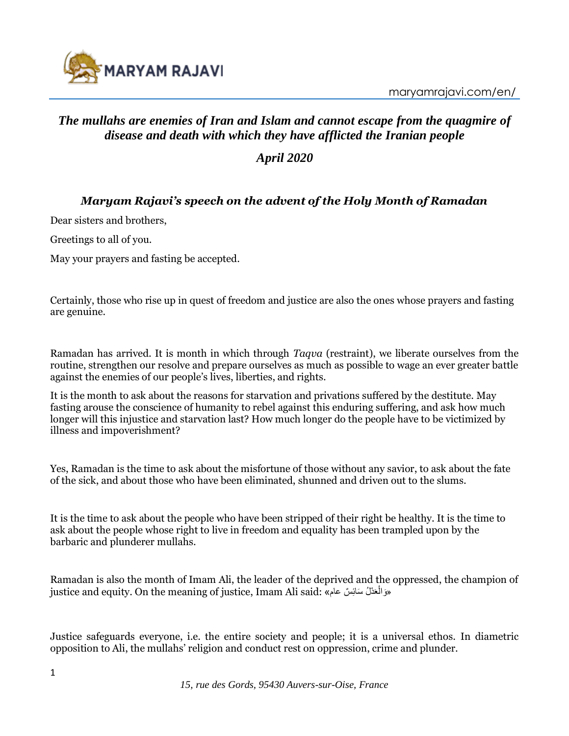

maryamrajavi.com/en/

# *The mullahs are enemies of Iran and Islam and cannot escape from the quagmire of disease and death with which they have afflicted the Iranian people*

*April 2020*

# *Maryam Rajavi's speech on the advent of the Holy Month of Ramadan*

Dear sisters and brothers,

Greetings to all of you.

May your prayers and fasting be accepted.

Certainly, those who rise up in quest of freedom and justice are also the ones whose prayers and fasting are genuine.

Ramadan has arrived. It is month in which through *Taqva* (restraint), we liberate ourselves from the routine, strengthen our resolve and prepare ourselves as much as possible to wage an ever greater battle against the enemies of our people's lives, liberties, and rights.

It is the month to ask about the reasons for starvation and privations suffered by the destitute. May fasting arouse the conscience of humanity to rebel against this enduring suffering, and ask how much longer will this injustice and starvation last? How much longer do the people have to be victimized by illness and impoverishment?

Yes, Ramadan is the time to ask about the misfortune of those without any savior, to ask about the fate of the sick, and about those who have been eliminated, shunned and driven out to the slums.

It is the time to ask about the people who have been stripped of their right be healthy. It is the time to ask about the people whose right to live in freedom and equality has been trampled upon by the barbaric and plunderer mullahs.

Ramadan is also the month of Imam Ali, the leader of the deprived and the oppressed, the champion of justice and equity. On the meaning of justice, Imam Ali said: «وَالْعَدُلُ سَائِسٌ عام» ْ

Justice safeguards everyone, i.e. the entire society and people; it is a universal ethos. In diametric opposition to Ali, the mullahs' religion and conduct rest on oppression, crime and plunder.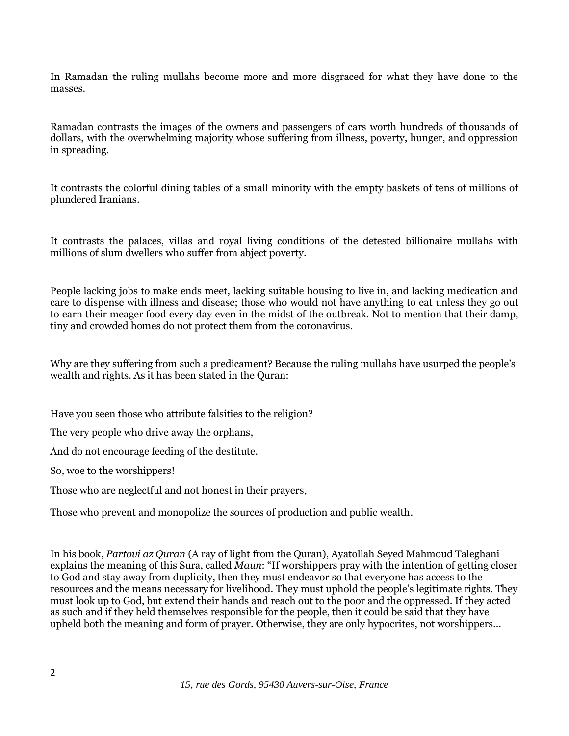In Ramadan the ruling mullahs become more and more disgraced for what they have done to the masses.

Ramadan contrasts the images of the owners and passengers of cars worth hundreds of thousands of dollars, with the overwhelming majority whose suffering from illness, poverty, hunger, and oppression in spreading.

It contrasts the colorful dining tables of a small minority with the empty baskets of tens of millions of plundered Iranians.

It contrasts the palaces, villas and royal living conditions of the detested billionaire mullahs with millions of slum dwellers who suffer from abject poverty.

People lacking jobs to make ends meet, lacking suitable housing to live in, and lacking medication and care to dispense with illness and disease; those who would not have anything to eat unless they go out to earn their meager food every day even in the midst of the outbreak. Not to mention that their damp, tiny and crowded homes do not protect them from the coronavirus.

Why are they suffering from such a predicament? Because the ruling mullahs have usurped the people's wealth and rights. As it has been stated in the Quran:

Have you seen those who attribute falsities to the religion?

The very people who drive away the orphans,

And do not encourage feeding of the destitute.

So, woe to the worshippers!

Those who are neglectful and not honest in their prayers,

Those who prevent and monopolize the sources of production and public wealth.

In his book, *Partovi az Quran* (A ray of light from the Quran), Ayatollah Seyed Mahmoud Taleghani explains the meaning of this Sura, called *Maun*: "If worshippers pray with the intention of getting closer to God and stay away from duplicity, then they must endeavor so that everyone has access to the resources and the means necessary for livelihood. They must uphold the people's legitimate rights. They must look up to God, but extend their hands and reach out to the poor and the oppressed. If they acted as such and if they held themselves responsible for the people, then it could be said that they have upheld both the meaning and form of prayer. Otherwise, they are only hypocrites, not worshippers…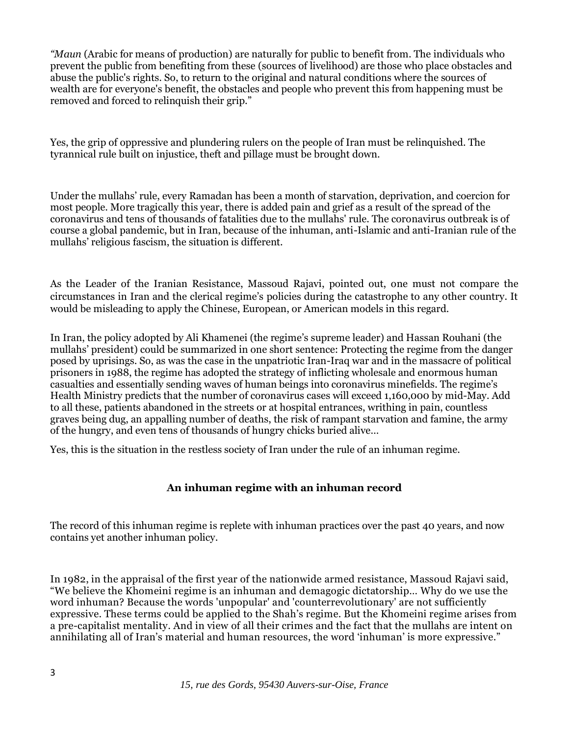*"Maun* (Arabic for means of production) are naturally for public to benefit from. The individuals who prevent the public from benefiting from these (sources of livelihood) are those who place obstacles and abuse the public's rights. So, to return to the original and natural conditions where the sources of wealth are for everyone's benefit, the obstacles and people who prevent this from happening must be removed and forced to relinquish their grip."

Yes, the grip of oppressive and plundering rulers on the people of Iran must be relinquished. The tyrannical rule built on injustice, theft and pillage must be brought down.

Under the mullahs' rule, every Ramadan has been a month of starvation, deprivation, and coercion for most people. More tragically this year, there is added pain and grief as a result of the spread of the coronavirus and tens of thousands of fatalities due to the mullahs' rule. The coronavirus outbreak is of course a global pandemic, but in Iran, because of the inhuman, anti-Islamic and anti-Iranian rule of the mullahs' religious fascism, the situation is different.

As the Leader of the Iranian Resistance, Massoud Rajavi, pointed out, one must not compare the circumstances in Iran and the clerical regime's policies during the catastrophe to any other country. It would be misleading to apply the Chinese, European, or American models in this regard.

In Iran, the policy adopted by Ali Khamenei (the regime's supreme leader) and Hassan Rouhani (the mullahs' president) could be summarized in one short sentence: Protecting the regime from the danger posed by uprisings. So, as was the case in the unpatriotic Iran-Iraq war and in the massacre of political prisoners in 1988, the regime has adopted the strategy of inflicting wholesale and enormous human casualties and essentially sending waves of human beings into coronavirus minefields. The regime's Health Ministry predicts that the number of coronavirus cases will exceed 1,160,000 by mid-May. Add to all these, patients abandoned in the streets or at hospital entrances, writhing in pain, countless graves being dug, an appalling number of deaths, the risk of rampant starvation and famine, the army of the hungry, and even tens of thousands of hungry chicks buried alive…

Yes, this is the situation in the restless society of Iran under the rule of an inhuman regime.

## **An inhuman regime with an inhuman record**

The record of this inhuman regime is replete with inhuman practices over the past 40 years, and now contains yet another inhuman policy.

In 1982, in the appraisal of the first year of the nationwide armed resistance, Massoud Rajavi said, "We believe the Khomeini regime is an inhuman and demagogic dictatorship… Why do we use the word inhuman? Because the words 'unpopular' and 'counterrevolutionary' are not sufficiently expressive. These terms could be applied to the Shah's regime. But the Khomeini regime arises from a pre-capitalist mentality. And in view of all their crimes and the fact that the mullahs are intent on annihilating all of Iran's material and human resources, the word 'inhuman' is more expressive."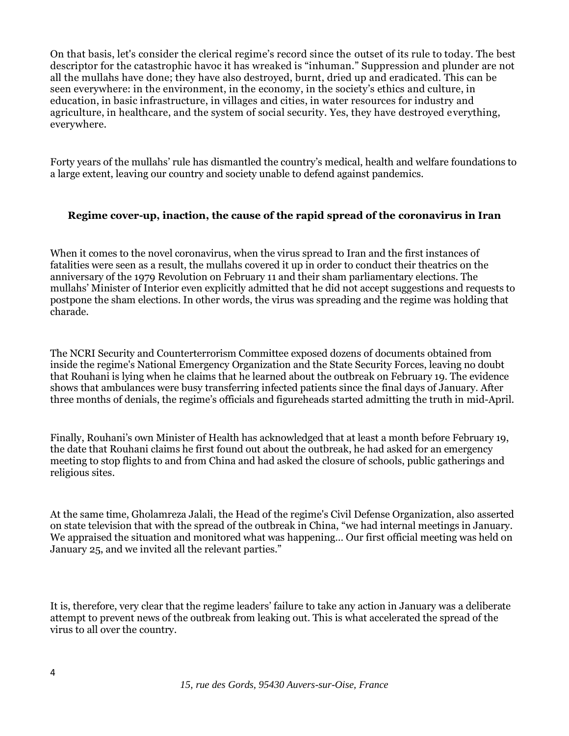On that basis, let's consider the clerical regime's record since the outset of its rule to today. The best descriptor for the catastrophic havoc it has wreaked is "inhuman." Suppression and plunder are not all the mullahs have done; they have also destroyed, burnt, dried up and eradicated. This can be seen everywhere: in the environment, in the economy, in the society's ethics and culture, in education, in basic infrastructure, in villages and cities, in water resources for industry and agriculture, in healthcare, and the system of social security. Yes, they have destroyed everything, everywhere.

Forty years of the mullahs' rule has dismantled the country's medical, health and welfare foundations to a large extent, leaving our country and society unable to defend against pandemics.

#### **Regime cover-up, inaction, the cause of the rapid spread of the coronavirus in Iran**

When it comes to the novel coronavirus, when the virus spread to Iran and the first instances of fatalities were seen as a result, the mullahs covered it up in order to conduct their theatrics on the anniversary of the 1979 Revolution on February 11 and their sham parliamentary elections. The mullahs' Minister of Interior even explicitly admitted that he did not accept suggestions and requests to postpone the sham elections. In other words, the virus was spreading and the regime was holding that charade.

The NCRI Security and Counterterrorism Committee exposed dozens of documents obtained from inside the regime's National Emergency Organization and the State Security Forces, leaving no doubt that Rouhani is lying when he claims that he learned about the outbreak on February 19. The evidence shows that ambulances were busy transferring infected patients since the final days of January. After three months of denials, the regime's officials and figureheads started admitting the truth in mid-April.

Finally, Rouhani's own Minister of Health has acknowledged that at least a month before February 19, the date that Rouhani claims he first found out about the outbreak, he had asked for an emergency meeting to stop flights to and from China and had asked the closure of schools, public gatherings and religious sites.

At the same time, Gholamreza Jalali, the Head of the regime's Civil Defense Organization, also asserted on state television that with the spread of the outbreak in China, "we had internal meetings in January. We appraised the situation and monitored what was happening… Our first official meeting was held on January 25, and we invited all the relevant parties."

It is, therefore, very clear that the regime leaders' failure to take any action in January was a deliberate attempt to prevent news of the outbreak from leaking out. This is what accelerated the spread of the virus to all over the country.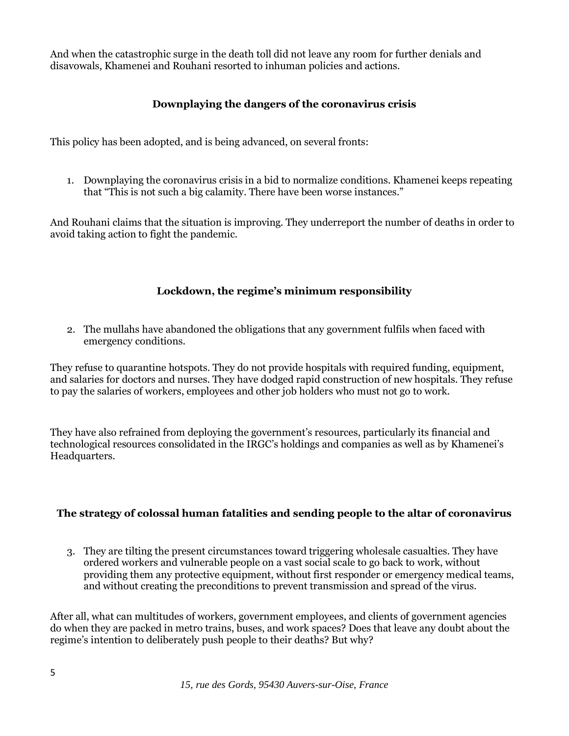And when the catastrophic surge in the death toll did not leave any room for further denials and disavowals, Khamenei and Rouhani resorted to inhuman policies and actions.

## **Downplaying the dangers of the coronavirus crisis**

This policy has been adopted, and is being advanced, on several fronts:

1. Downplaying the coronavirus crisis in a bid to normalize conditions. Khamenei keeps repeating that "This is not such a big calamity. There have been worse instances."

And Rouhani claims that the situation is improving. They underreport the number of deaths in order to avoid taking action to fight the pandemic.

## **Lockdown, the regime's minimum responsibility**

2. The mullahs have abandoned the obligations that any government fulfils when faced with emergency conditions.

They refuse to quarantine hotspots. They do not provide hospitals with required funding, equipment, and salaries for doctors and nurses. They have dodged rapid construction of new hospitals. They refuse to pay the salaries of workers, employees and other job holders who must not go to work.

They have also refrained from deploying the government's resources, particularly its financial and technological resources consolidated in the IRGC's holdings and companies as well as by Khamenei's Headquarters.

#### **The strategy of colossal human fatalities and sending people to the altar of coronavirus**

3. They are tilting the present circumstances toward triggering wholesale casualties. They have ordered workers and vulnerable people on a vast social scale to go back to work, without providing them any protective equipment, without first responder or emergency medical teams, and without creating the preconditions to prevent transmission and spread of the virus.

After all, what can multitudes of workers, government employees, and clients of government agencies do when they are packed in metro trains, buses, and work spaces? Does that leave any doubt about the regime's intention to deliberately push people to their deaths? But why?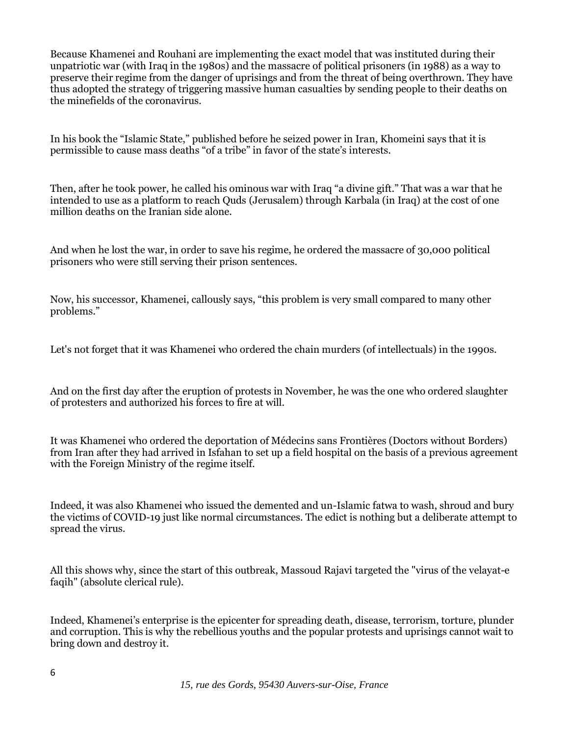Because Khamenei and Rouhani are implementing the exact model that was instituted during their unpatriotic war (with Iraq in the 1980s) and the massacre of political prisoners (in 1988) as a way to preserve their regime from the danger of uprisings and from the threat of being overthrown. They have thus adopted the strategy of triggering massive human casualties by sending people to their deaths on the minefields of the coronavirus.

In his book the "Islamic State," published before he seized power in Iran, Khomeini says that it is permissible to cause mass deaths "of a tribe" in favor of the state's interests.

Then, after he took power, he called his ominous war with Iraq "a divine gift." That was a war that he intended to use as a platform to reach Quds (Jerusalem) through Karbala (in Iraq) at the cost of one million deaths on the Iranian side alone.

And when he lost the war, in order to save his regime, he ordered the massacre of 30,000 political prisoners who were still serving their prison sentences.

Now, his successor, Khamenei, callously says, "this problem is very small compared to many other problems."

Let's not forget that it was Khamenei who ordered the chain murders (of intellectuals) in the 1990s.

And on the first day after the eruption of protests in November, he was the one who ordered slaughter of protesters and authorized his forces to fire at will.

It was Khamenei who ordered the deportation of Médecins sans Frontières (Doctors without Borders) from Iran after they had arrived in Isfahan to set up a field hospital on the basis of a previous agreement with the Foreign Ministry of the regime itself.

Indeed, it was also Khamenei who issued the demented and un-Islamic fatwa to wash, shroud and bury the victims of COVID-19 just like normal circumstances. The edict is nothing but a deliberate attempt to spread the virus.

All this shows why, since the start of this outbreak, Massoud Rajavi targeted the "virus of the velayat-e faqih" (absolute clerical rule).

Indeed, Khamenei's enterprise is the epicenter for spreading death, disease, terrorism, torture, plunder and corruption. This is why the rebellious youths and the popular protests and uprisings cannot wait to bring down and destroy it.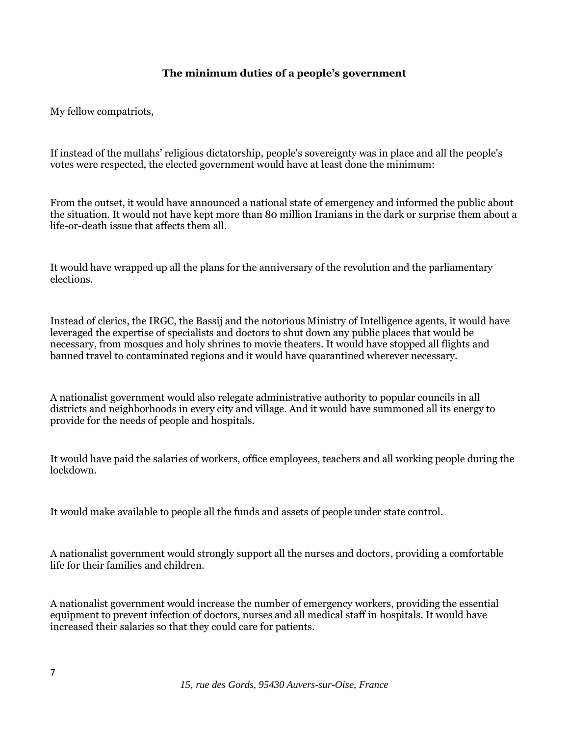#### **The minimum duties of a people's government**

My fellow compatriots,

If instead of the mullahs' religious dictatorship, people's sovereignty was in place and all the people's votes were respected, the elected government would have at least done the minimum:

From the outset, it would have announced a national state of emergency and informed the public about the situation. It would not have kept more than 80 million Iranians in the dark or surprise them about a life-or-death issue that affects them all.

It would have wrapped up all the plans for the anniversary of the revolution and the parliamentary elections.

Instead of clerics, the IRGC, the Bassij and the notorious Ministry of Intelligence agents, it would have leveraged the expertise of specialists and doctors to shut down any public places that would be necessary, from mosques and holy shrines to movie theaters. It would have stopped all flights and banned travel to contaminated regions and it would have quarantined wherever necessary.

A nationalist government would also relegate administrative authority to popular councils in all districts and neighborhoods in every city and village. And it would have summoned all its energy to provide for the needs of people and hospitals.

It would have paid the salaries of workers, office employees, teachers and all working people during the lockdown.

It would make available to people all the funds and assets of people under state control.

A nationalist government would strongly support all the nurses and doctors, providing a comfortable life for their families and children.

A nationalist government would increase the number of emergency workers, providing the essential equipment to prevent infection of doctors, nurses and all medical staff in hospitals. It would have increased their salaries so that they could care for patients.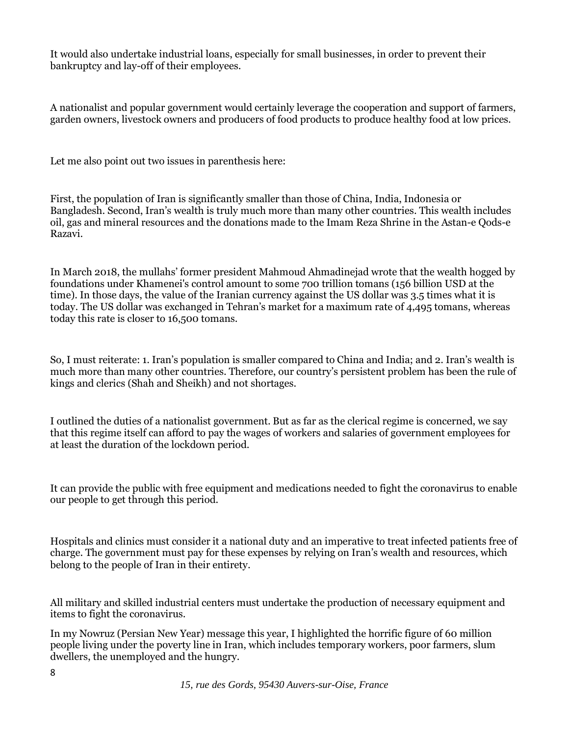It would also undertake industrial loans, especially for small businesses, in order to prevent their bankruptcy and lay-off of their employees.

A nationalist and popular government would certainly leverage the cooperation and support of farmers, garden owners, livestock owners and producers of food products to produce healthy food at low prices.

Let me also point out two issues in parenthesis here:

First, the population of Iran is significantly smaller than those of China, India, Indonesia or Bangladesh. Second, Iran's wealth is truly much more than many other countries. This wealth includes oil, gas and mineral resources and the donations made to the Imam Reza Shrine in the Astan-e Qods-e Razavi.

In March 2018, the mullahs' former president Mahmoud Ahmadinejad wrote that the wealth hogged by foundations under Khamenei's control amount to some 700 trillion tomans (156 billion USD at the time). In those days, the value of the Iranian currency against the US dollar was 3.5 times what it is today. The US dollar was exchanged in Tehran's market for a maximum rate of 4,495 tomans, whereas today this rate is closer to 16,500 tomans.

So, I must reiterate: 1. Iran's population is smaller compared to China and India; and 2. Iran's wealth is much more than many other countries. Therefore, our country's persistent problem has been the rule of kings and clerics (Shah and Sheikh) and not shortages.

I outlined the duties of a nationalist government. But as far as the clerical regime is concerned, we say that this regime itself can afford to pay the wages of workers and salaries of government employees for at least the duration of the lockdown period.

It can provide the public with free equipment and medications needed to fight the coronavirus to enable our people to get through this period.

Hospitals and clinics must consider it a national duty and an imperative to treat infected patients free of charge. The government must pay for these expenses by relying on Iran's wealth and resources, which belong to the people of Iran in their entirety.

All military and skilled industrial centers must undertake the production of necessary equipment and items to fight the coronavirus.

In my Nowruz (Persian New Year) message this year, I highlighted the horrific figure of 60 million people living under the poverty line in Iran, which includes temporary workers, poor farmers, slum dwellers, the unemployed and the hungry.

*15, rue des Gords, 95430 Auvers-sur-Oise, France*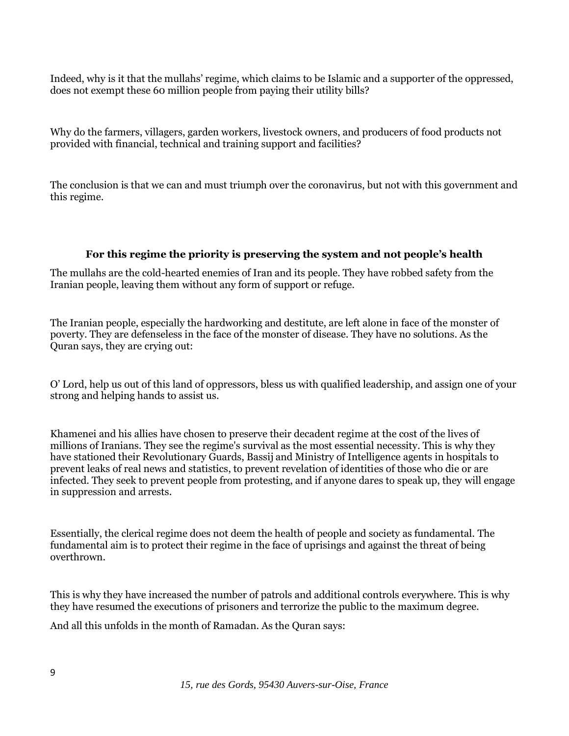Indeed, why is it that the mullahs' regime, which claims to be Islamic and a supporter of the oppressed, does not exempt these 60 million people from paying their utility bills?

Why do the farmers, villagers, garden workers, livestock owners, and producers of food products not provided with financial, technical and training support and facilities?

The conclusion is that we can and must triumph over the coronavirus, but not with this government and this regime.

#### **For this regime the priority is preserving the system and not people's health**

The mullahs are the cold-hearted enemies of Iran and its people. They have robbed safety from the Iranian people, leaving them without any form of support or refuge.

The Iranian people, especially the hardworking and destitute, are left alone in face of the monster of poverty. They are defenseless in the face of the monster of disease. They have no solutions. As the Quran says, they are crying out:

O' Lord, help us out of this land of oppressors, bless us with qualified leadership, and assign one of your strong and helping hands to assist us.

Khamenei and his allies have chosen to preserve their decadent regime at the cost of the lives of millions of Iranians. They see the regime's survival as the most essential necessity. This is why they have stationed their Revolutionary Guards, Bassij and Ministry of Intelligence agents in hospitals to prevent leaks of real news and statistics, to prevent revelation of identities of those who die or are infected. They seek to prevent people from protesting, and if anyone dares to speak up, they will engage in suppression and arrests.

Essentially, the clerical regime does not deem the health of people and society as fundamental. The fundamental aim is to protect their regime in the face of uprisings and against the threat of being overthrown.

This is why they have increased the number of patrols and additional controls everywhere. This is why they have resumed the executions of prisoners and terrorize the public to the maximum degree.

And all this unfolds in the month of Ramadan. As the Quran says: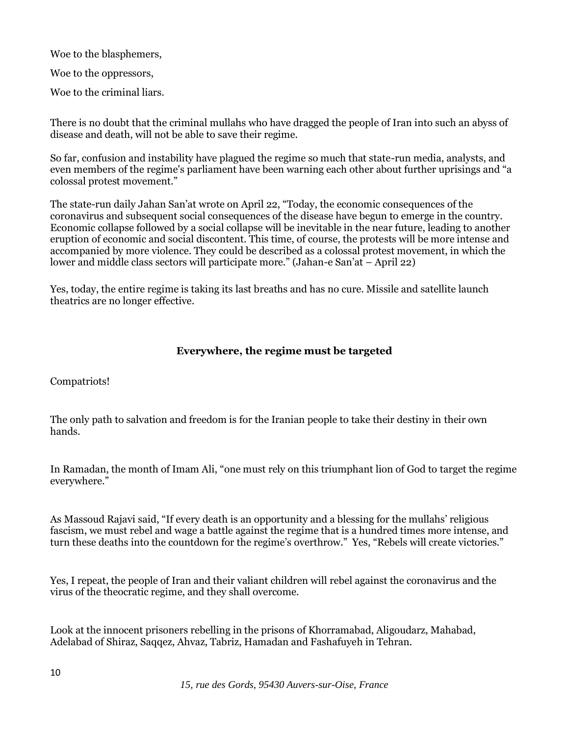Woe to the blasphemers,

Woe to the oppressors,

Woe to the criminal liars.

There is no doubt that the criminal mullahs who have dragged the people of Iran into such an abyss of disease and death, will not be able to save their regime.

So far, confusion and instability have plagued the regime so much that state-run media, analysts, and even members of the regime's parliament have been warning each other about further uprisings and "a colossal protest movement."

The state-run daily Jahan San'at wrote on April 22, "Today, the economic consequences of the coronavirus and subsequent social consequences of the disease have begun to emerge in the country. Economic collapse followed by a social collapse will be inevitable in the near future, leading to another eruption of economic and social discontent. This time, of course, the protests will be more intense and accompanied by more violence. They could be described as a colossal protest movement, in which the lower and middle class sectors will participate more." (Jahan-e San'at – April 22)

Yes, today, the entire regime is taking its last breaths and has no cure. Missile and satellite launch theatrics are no longer effective.

#### **Everywhere, the regime must be targeted**

### Compatriots!

The only path to salvation and freedom is for the Iranian people to take their destiny in their own hands.

In Ramadan, the month of Imam Ali, "one must rely on this triumphant lion of God to target the regime everywhere."

As Massoud Rajavi said, "If every death is an opportunity and a blessing for the mullahs' religious fascism, we must rebel and wage a battle against the regime that is a hundred times more intense, and turn these deaths into the countdown for the regime's overthrow." Yes, "Rebels will create victories."

Yes, I repeat, the people of Iran and their valiant children will rebel against the coronavirus and the virus of the theocratic regime, and they shall overcome.

Look at the innocent prisoners rebelling in the prisons of Khorramabad, Aligoudarz, Mahabad, Adelabad of Shiraz, Saqqez, Ahvaz, Tabriz, Hamadan and Fashafuyeh in Tehran.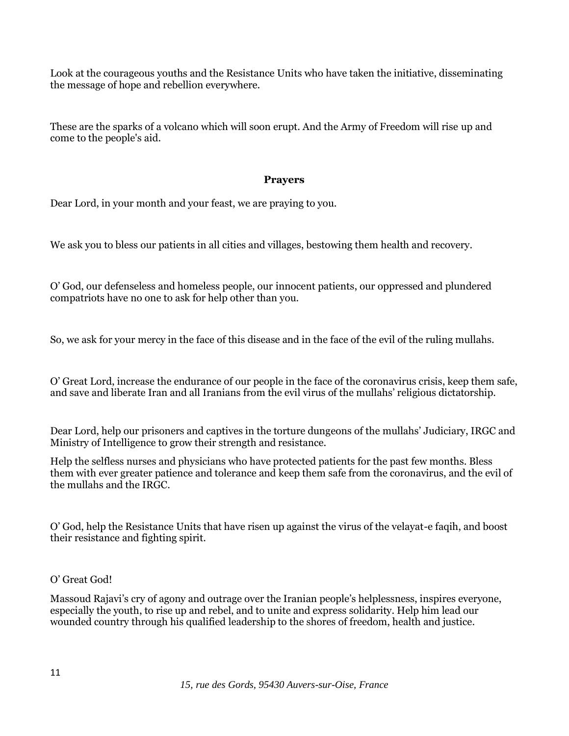Look at the courageous youths and the Resistance Units who have taken the initiative, disseminating the message of hope and rebellion everywhere.

These are the sparks of a volcano which will soon erupt. And the Army of Freedom will rise up and come to the people's aid.

### **Prayers**

Dear Lord, in your month and your feast, we are praying to you.

We ask you to bless our patients in all cities and villages, bestowing them health and recovery.

O' God, our defenseless and homeless people, our innocent patients, our oppressed and plundered compatriots have no one to ask for help other than you.

So, we ask for your mercy in the face of this disease and in the face of the evil of the ruling mullahs.

O' Great Lord, increase the endurance of our people in the face of the coronavirus crisis, keep them safe, and save and liberate Iran and all Iranians from the evil virus of the mullahs' religious dictatorship.

Dear Lord, help our prisoners and captives in the torture dungeons of the mullahs' Judiciary, IRGC and Ministry of Intelligence to grow their strength and resistance.

Help the selfless nurses and physicians who have protected patients for the past few months. Bless them with ever greater patience and tolerance and keep them safe from the coronavirus, and the evil of the mullahs and the IRGC.

O' God, help the Resistance Units that have risen up against the virus of the velayat-e faqih, and boost their resistance and fighting spirit.

#### O' Great God!

Massoud Rajavi's cry of agony and outrage over the Iranian people's helplessness, inspires everyone, especially the youth, to rise up and rebel, and to unite and express solidarity. Help him lead our wounded country through his qualified leadership to the shores of freedom, health and justice.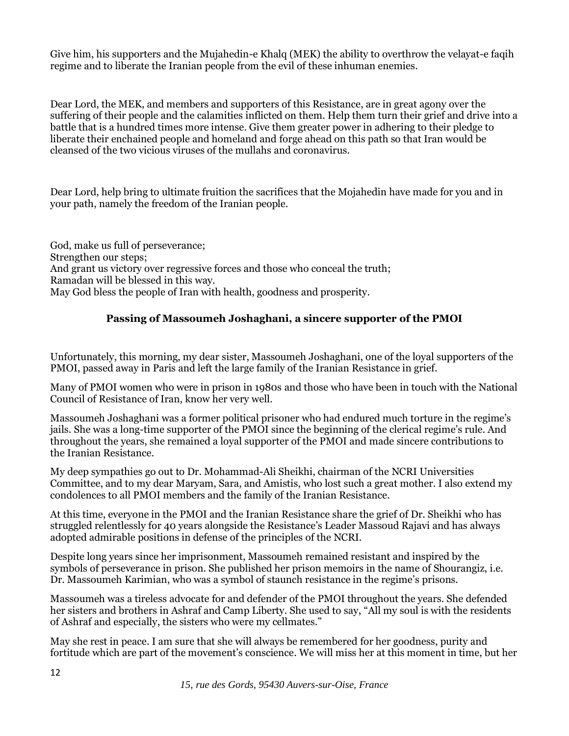Give him, his supporters and the Mujahedin-e Khalq (MEK) the ability to overthrow the velayat-e faqih regime and to liberate the Iranian people from the evil of these inhuman enemies.

Dear Lord, the MEK, and members and supporters of this Resistance, are in great agony over the suffering of their people and the calamities inflicted on them. Help them turn their grief and drive into a battle that is a hundred times more intense. Give them greater power in adhering to their pledge to liberate their enchained people and homeland and forge ahead on this path so that Iran would be cleansed of the two vicious viruses of the mullahs and coronavirus.

Dear Lord, help bring to ultimate fruition the sacrifices that the Mojahedin have made for you and in your path, namely the freedom of the Iranian people.

God, make us full of perseverance; Strengthen our steps; And grant us victory over regressive forces and those who conceal the truth; Ramadan will be blessed in this way. May God bless the people of Iran with health, goodness and prosperity.

## **Passing of Massoumeh Joshaghani, a sincere supporter of the PMOI**

Unfortunately, this morning, my dear sister, Massoumeh Joshaghani, one of the loyal supporters of the PMOI, passed away in Paris and left the large family of the Iranian Resistance in grief.

Many of PMOI women who were in prison in 1980s and those who have been in touch with the National Council of Resistance of Iran, know her very well.

Massoumeh Joshaghani was a former political prisoner who had endured much torture in the regime's jails. She was a long-time supporter of the PMOI since the beginning of the clerical regime's rule. And throughout the years, she remained a loyal supporter of the PMOI and made sincere contributions to the Iranian Resistance.

My deep sympathies go out to Dr. Mohammad-Ali Sheikhi, chairman of the NCRI Universities Committee, and to my dear Maryam, Sara, and Amistis, who lost such a great mother. I also extend my condolences to all PMOI members and the family of the Iranian Resistance.

At this time, everyone in the PMOI and the Iranian Resistance share the grief of Dr. Sheikhi who has struggled relentlessly for 40 years alongside the Resistance's Leader Massoud Rajavi and has always adopted admirable positions in defense of the principles of the NCRI.

Despite long years since her imprisonment, Massoumeh remained resistant and inspired by the symbols of perseverance in prison. She published her prison memoirs in the name of Shourangiz, i.e. Dr. Massoumeh Karimian, who was a symbol of staunch resistance in the regime's prisons.

Massoumeh was a tireless advocate for and defender of the PMOI throughout the years. She defended her sisters and brothers in Ashraf and Camp Liberty. She used to say, "All my soul is with the residents of Ashraf and especially, the sisters who were my cellmates."

May she rest in peace. I am sure that she will always be remembered for her goodness, purity and fortitude which are part of the movement's conscience. We will miss her at this moment in time, but her